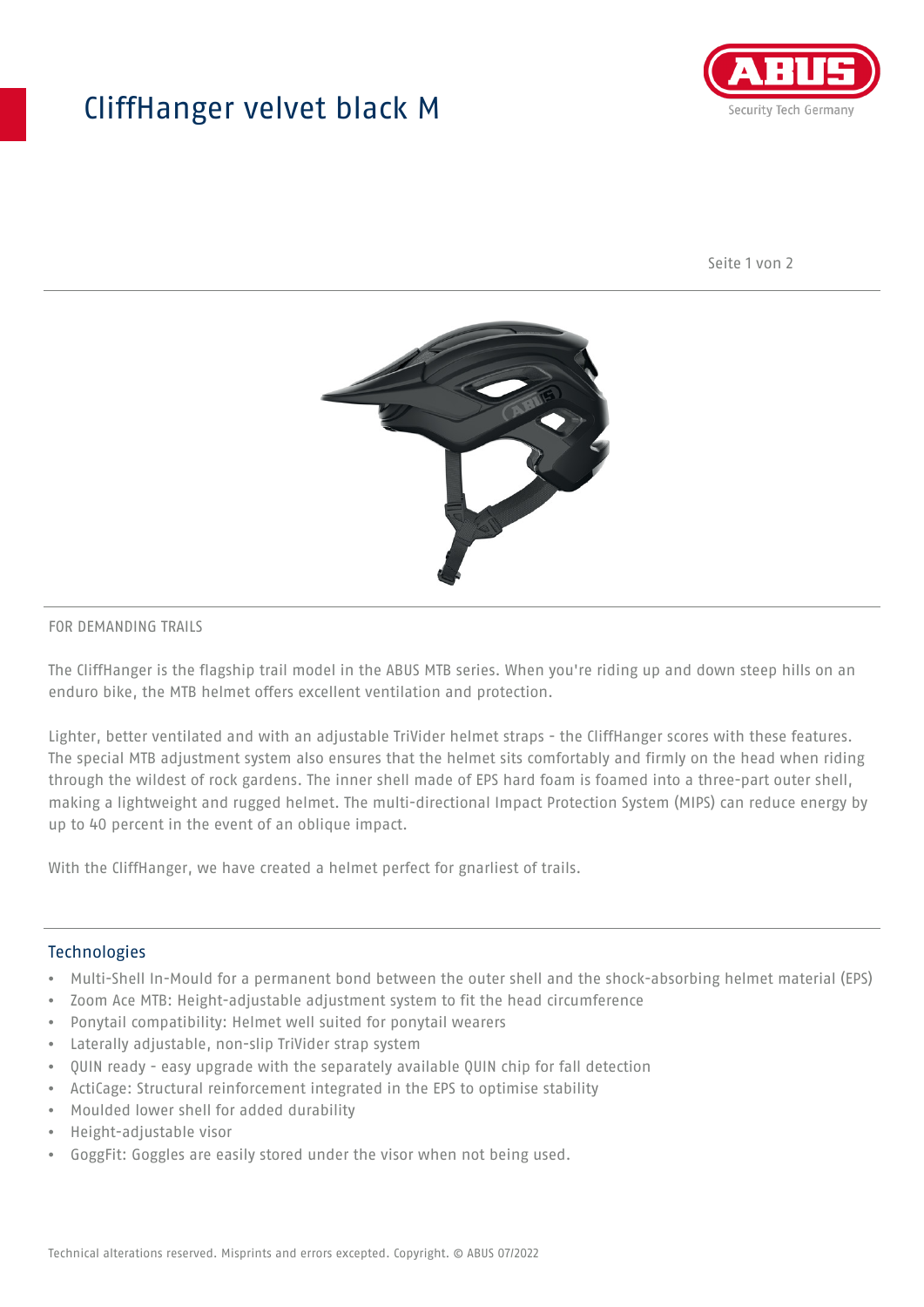## CliffHanger velvet black M



Seite 1 von 2



## FOR DEMANDING TRAILS

The CliffHanger is the flagship trail model in the ABUS MTB series. When you're riding up and down steep hills on an enduro bike, the MTB helmet offers excellent ventilation and protection.

Lighter, better ventilated and with an adjustable TriVider helmet straps - the CliffHanger scores with these features. The special MTB adjustment system also ensures that the helmet sits comfortably and firmly on the head when riding through the wildest of rock gardens. The inner shell made of EPS hard foam is foamed into a three-part outer shell, making a lightweight and rugged helmet. The multi-directional Impact Protection System (MIPS) can reduce energy by up to 40 percent in the event of an oblique impact.

With the CliffHanger, we have created a helmet perfect for gnarliest of trails.

## Technologies

- Multi-Shell In-Mould for a permanent bond between the outer shell and the shock-absorbing helmet material (EPS)
- Zoom Ace MTB: Height-adjustable adjustment system to fit the head circumference
- Ponytail compatibility: Helmet well suited for ponytail wearers
- Laterally adjustable, non-slip TriVider strap system
- QUIN ready easy upgrade with the separately available QUIN chip for fall detection
- ActiCage: Structural reinforcement integrated in the EPS to optimise stability
- Moulded lower shell for added durability
- Height-adjustable visor
- GoggFit: Goggles are easily stored under the visor when not being used.